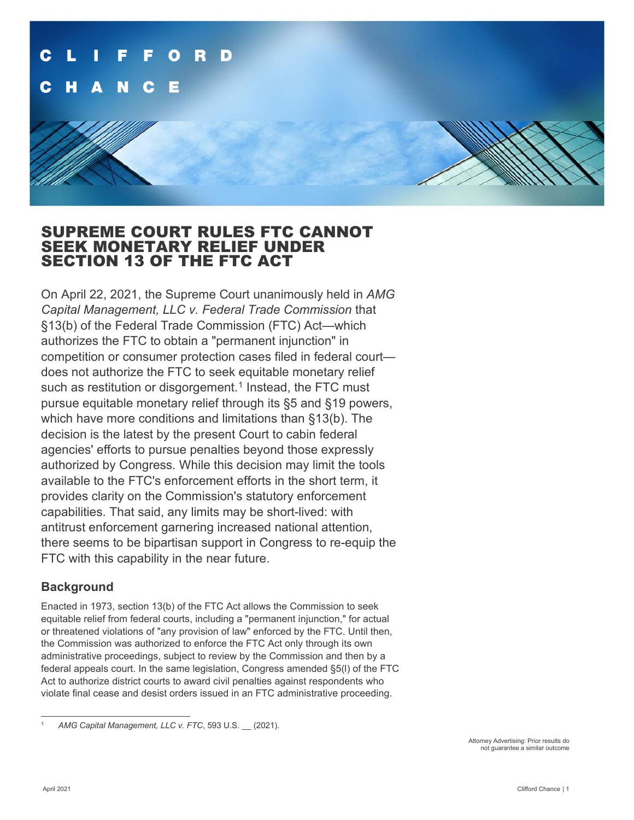

## SUPREME COURT RULES FTC CANNOT SEEK MONETARY RELIEF UNDER SECTION 13 OF THE FTC ACT

On April 22, 2021, the Supreme Court unanimously held in *AMG Capital Management, LLC v. Federal Trade Commission* that §13(b) of the Federal Trade Commission (FTC) Act—which authorizes the FTC to obtain a "permanent injunction" in competition or consumer protection cases filed in federal court does not authorize the FTC to seek equitable monetary relief such as restitution or disgorgement.<sup>[1](#page-0-0)</sup> Instead, the FTC must pursue equitable monetary relief through its §5 and §19 powers, which have more conditions and limitations than §13(b). The decision is the latest by the present Court to cabin federal agencies' efforts to pursue penalties beyond those expressly authorized by Congress. While this decision may limit the tools available to the FTC's enforcement efforts in the short term, it provides clarity on the Commission's statutory enforcement capabilities. That said, any limits may be short-lived: with antitrust enforcement garnering increased national attention, there seems to be bipartisan support in Congress to re-equip the FTC with this capability in the near future.

### **Background**

Enacted in 1973, section 13(b) of the FTC Act allows the Commission to seek equitable relief from federal courts, including a "permanent injunction," for actual or threatened violations of "any provision of law" enforced by the FTC. Until then, the Commission was authorized to enforce the FTC Act only through its own administrative proceedings, subject to review by the Commission and then by a federal appeals court. In the same legislation, Congress amended §5(l) of the FTC Act to authorize district courts to award civil penalties against respondents who violate final cease and desist orders issued in an FTC administrative proceeding.

Attorney Advertising: Prior results do not guarantee a similar outcome

<span id="page-0-0"></span><sup>1</sup> *AMG Capital Management, LLC v. FTC*, 593 U.S. \_\_ (2021).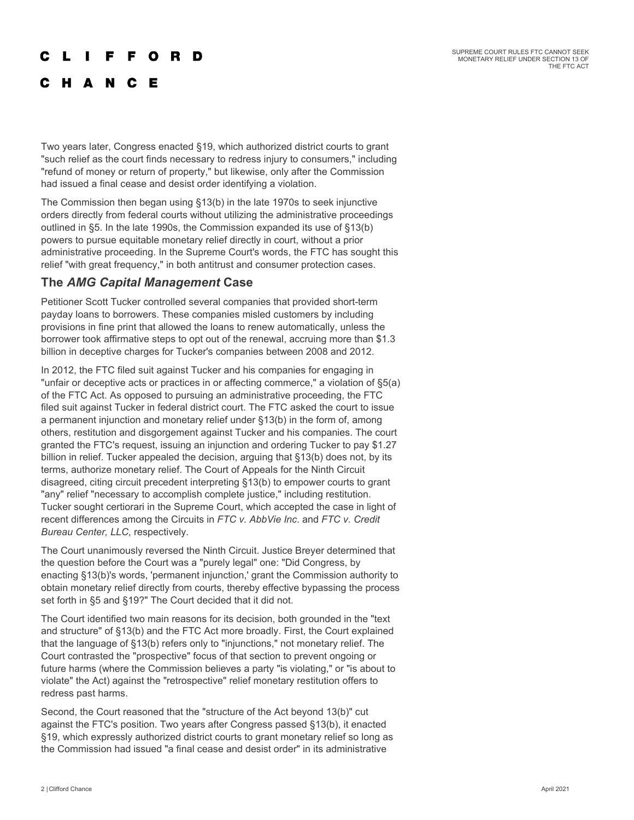SUPREME COURT RULES FTC CANNOT SEEK MONETARY RELIEF UNDER SECTION 13 OF THE FTC ACT

#### **FFORD** r L

**HANCE** 

Two years later, Congress enacted §19, which authorized district courts to grant "such relief as the court finds necessary to redress injury to consumers," including "refund of money or return of property," but likewise, only after the Commission had issued a final cease and desist order identifying a violation.

The Commission then began using §13(b) in the late 1970s to seek injunctive orders directly from federal courts without utilizing the administrative proceedings outlined in §5. In the late 1990s, the Commission expanded its use of §13(b) powers to pursue equitable monetary relief directly in court, without a prior administrative proceeding. In the Supreme Court's words, the FTC has sought this relief "with great frequency," in both antitrust and consumer protection cases.

### **The** *AMG Capital Management* **Case**

Petitioner Scott Tucker controlled several companies that provided short-term payday loans to borrowers. These companies misled customers by including provisions in fine print that allowed the loans to renew automatically, unless the borrower took affirmative steps to opt out of the renewal, accruing more than \$1.3 billion in deceptive charges for Tucker's companies between 2008 and 2012.

In 2012, the FTC filed suit against Tucker and his companies for engaging in "unfair or deceptive acts or practices in or affecting commerce," a violation of §5(a) of the FTC Act. As opposed to pursuing an administrative proceeding, the FTC filed suit against Tucker in federal district court. The FTC asked the court to issue a permanent injunction and monetary relief under §13(b) in the form of, among others, restitution and disgorgement against Tucker and his companies. The court granted the FTC's request, issuing an injunction and ordering Tucker to pay \$1.27 billion in relief. Tucker appealed the decision, arguing that §13(b) does not, by its terms, authorize monetary relief. The Court of Appeals for the Ninth Circuit disagreed, citing circuit precedent interpreting §13(b) to empower courts to grant "any" relief "necessary to accomplish complete justice," including restitution. Tucker sought certiorari in the Supreme Court, which accepted the case in light of recent differences among the Circuits in *FTC v. AbbVie Inc*. and *FTC v. Credit Bureau Center, LLC*, respectively.

The Court unanimously reversed the Ninth Circuit. Justice Breyer determined that the question before the Court was a "purely legal" one: "Did Congress, by enacting §13(b)'s words, 'permanent injunction,' grant the Commission authority to obtain monetary relief directly from courts, thereby effective bypassing the process set forth in §5 and §19?" The Court decided that it did not.

The Court identified two main reasons for its decision, both grounded in the "text and structure" of §13(b) and the FTC Act more broadly. First, the Court explained that the language of §13(b) refers only to "injunctions," not monetary relief. The Court contrasted the "prospective" focus of that section to prevent ongoing or future harms (where the Commission believes a party "is violating," or "is about to violate" the Act) against the "retrospective" relief monetary restitution offers to redress past harms.

Second, the Court reasoned that the "structure of the Act beyond 13(b)" cut against the FTC's position. Two years after Congress passed §13(b), it enacted §19, which expressly authorized district courts to grant monetary relief so long as the Commission had issued "a final cease and desist order" in its administrative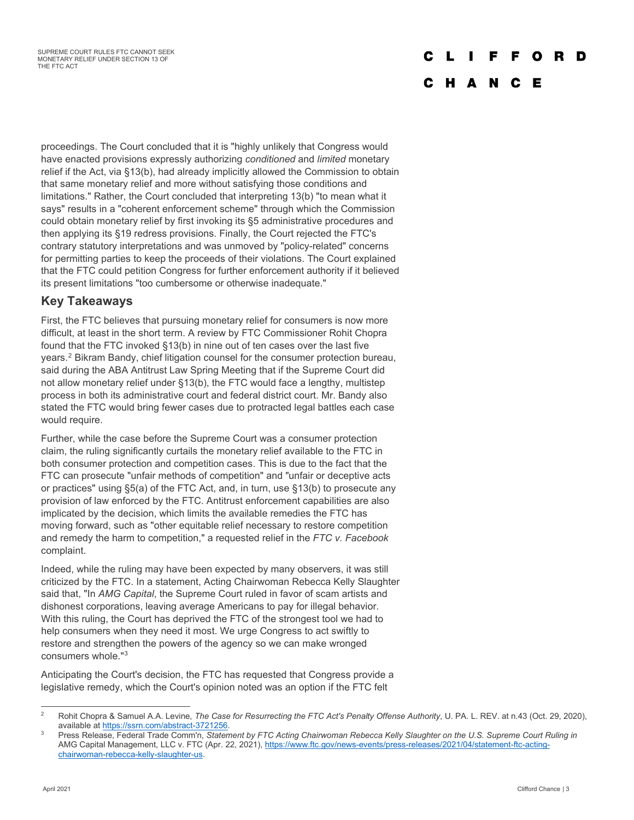## O

### C H A N C E

proceedings. The Court concluded that it is "highly unlikely that Congress would have enacted provisions expressly authorizing *conditioned* and *limited* monetary relief if the Act, via §13(b), had already implicitly allowed the Commission to obtain that same monetary relief and more without satisfying those conditions and limitations." Rather, the Court concluded that interpreting 13(b) "to mean what it says" results in a "coherent enforcement scheme" through which the Commission could obtain monetary relief by first invoking its §5 administrative procedures and then applying its §19 redress provisions. Finally, the Court rejected the FTC's contrary statutory interpretations and was unmoved by "policy-related" concerns for permitting parties to keep the proceeds of their violations. The Court explained that the FTC could petition Congress for further enforcement authority if it believed its present limitations "too cumbersome or otherwise inadequate."

## **Key Takeaways**

First, the FTC believes that pursuing monetary relief for consumers is now more difficult, at least in the short term. A review by FTC Commissioner Rohit Chopra found that the FTC invoked §13(b) in nine out of ten cases over the last five years.[2](#page-2-0) Bikram Bandy, chief litigation counsel for the consumer protection bureau, said during the ABA Antitrust Law Spring Meeting that if the Supreme Court did not allow monetary relief under §13(b), the FTC would face a lengthy, multistep process in both its administrative court and federal district court. Mr. Bandy also stated the FTC would bring fewer cases due to protracted legal battles each case would require.

Further, while the case before the Supreme Court was a consumer protection claim, the ruling significantly curtails the monetary relief available to the FTC in both consumer protection and competition cases. This is due to the fact that the FTC can prosecute "unfair methods of competition" and "unfair or deceptive acts or practices" using §5(a) of the FTC Act, and, in turn, use §13(b) to prosecute any provision of law enforced by the FTC. Antitrust enforcement capabilities are also implicated by the decision, which limits the available remedies the FTC has moving forward, such as "other equitable relief necessary to restore competition and remedy the harm to competition," a requested relief in the *FTC v. Facebook* complaint.

Indeed, while the ruling may have been expected by many observers, it was still criticized by the FTC. In a statement, Acting Chairwoman Rebecca Kelly Slaughter said that, "In *AMG Capital*, the Supreme Court ruled in favor of scam artists and dishonest corporations, leaving average Americans to pay for illegal behavior. With this ruling, the Court has deprived the FTC of the strongest tool we had to help consumers when they need it most. We urge Congress to act swiftly to restore and strengthen the powers of the agency so we can make wronged consumers whole."[3](#page-2-1)

Anticipating the Court's decision, the FTC has requested that Congress provide a legislative remedy, which the Court's opinion noted was an option if the FTC felt

<span id="page-2-0"></span><sup>2</sup> Rohit Chopra & Samuel A.A. Levine, *The Case for Resurrecting the FTC Act's Penalty Offense Authority*, U. PA. L. REV. at n.43 (Oct. 29, 2020), available at [https://ssrn.com/abstract-3721256.](https://ssrn.com/abstract-3721256)

<span id="page-2-1"></span><sup>3</sup> Press Release, Federal Trade Comm'n, *Statement by FTC Acting Chairwoman Rebecca Kelly Slaughter on the U.S. Supreme Court Ruling in* AMG Capital Management, LLC v. FTC (Apr. 22, 2021), [https://www.ftc.gov/news-events/press-releases/2021/04/statement-ftc-acting](https://www.ftc.gov/news-events/press-releases/2021/04/statement-ftc-acting-chairwoman-rebecca-kelly-slaughter-us)[chairwoman-rebecca-kelly-slaughter-us.](https://www.ftc.gov/news-events/press-releases/2021/04/statement-ftc-acting-chairwoman-rebecca-kelly-slaughter-us)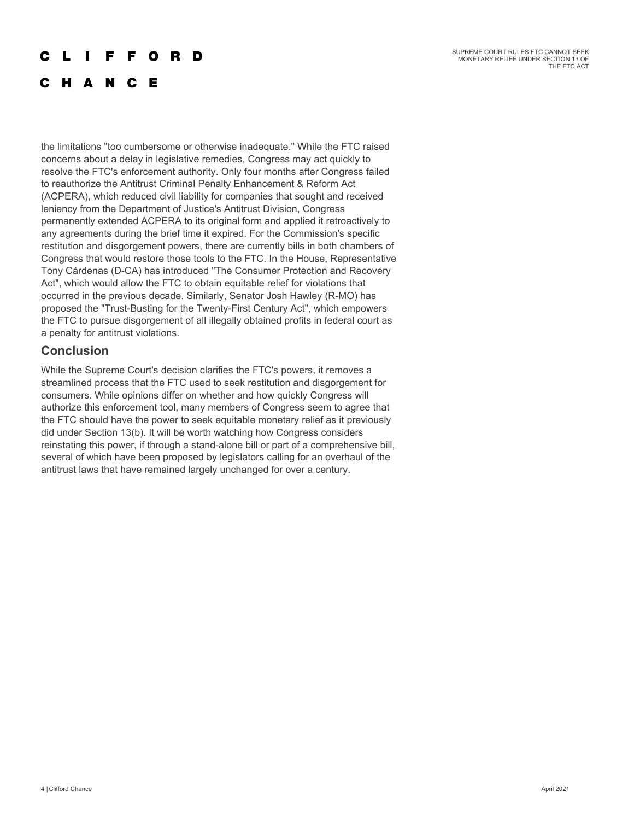SUPREME COURT RULES FTC CANNOT SEEK MONETARY RELIEF UNDER SECTION 13 OF THE FTC ACT

#### L **The Contract State FFORD**

## C H A N C E

the limitations "too cumbersome or otherwise inadequate." While the FTC raised concerns about a delay in legislative remedies, Congress may act quickly to resolve the FTC's enforcement authority. Only four months after Congress failed to reauthorize the Antitrust Criminal Penalty Enhancement & Reform Act (ACPERA), which reduced civil liability for companies that sought and received leniency from the Department of Justice's Antitrust Division, Congress permanently extended ACPERA to its original form and applied it retroactively to any agreements during the brief time it expired. For the Commission's specific restitution and disgorgement powers, there are currently bills in both chambers of Congress that would restore those tools to the FTC. In the House, Representative Tony Cárdenas (D-CA) has introduced "The Consumer Protection and Recovery Act", which would allow the FTC to obtain equitable relief for violations that occurred in the previous decade. Similarly, Senator Josh Hawley (R-MO) has proposed the "Trust-Busting for the Twenty-First Century Act", which empowers the FTC to pursue disgorgement of all illegally obtained profits in federal court as a penalty for antitrust violations.

### **Conclusion**

While the Supreme Court's decision clarifies the FTC's powers, it removes a streamlined process that the FTC used to seek restitution and disgorgement for consumers. While opinions differ on whether and how quickly Congress will authorize this enforcement tool, many members of Congress seem to agree that the FTC should have the power to seek equitable monetary relief as it previously did under Section 13(b). It will be worth watching how Congress considers reinstating this power, if through a stand-alone bill or part of a comprehensive bill, several of which have been proposed by legislators calling for an overhaul of the antitrust laws that have remained largely unchanged for over a century.